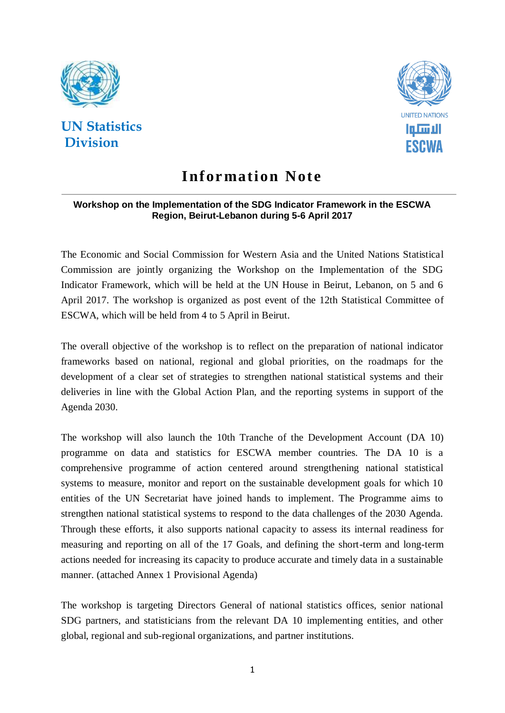

# **UN Statistics Division**



# **Infor mation Note**

#### **Workshop on the Implementation of the SDG Indicator Framework in the ESCWA Region, Beirut-Lebanon during 5-6 April 2017**

The Economic and Social Commission for Western Asia and the United Nations Statistical Commission are jointly organizing the Workshop on the Implementation of the SDG Indicator Framework, which will be held at the UN House in Beirut, Lebanon, on 5 and 6 April 2017. The workshop is organized as post event of the 12th Statistical Committee of ESCWA, which will be held from 4 to 5 April in Beirut.

The overall objective of the workshop is to reflect on the preparation of national indicator frameworks based on national, regional and global priorities, on the roadmaps for the development of a clear set of strategies to strengthen national statistical systems and their deliveries in line with the Global Action Plan, and the reporting systems in support of the Agenda 2030.

The workshop will also launch the 10th Tranche of the Development Account (DA 10) programme on data and statistics for ESCWA member countries. The DA 10 is a comprehensive programme of action centered around strengthening national statistical systems to measure, monitor and report on the sustainable development goals for which 10 entities of the UN Secretariat have joined hands to implement. The Programme aims to strengthen national statistical systems to respond to the data challenges of the 2030 Agenda. Through these efforts, it also supports national capacity to assess its internal readiness for measuring and reporting on all of the 17 Goals, and defining the short-term and long-term actions needed for increasing its capacity to produce accurate and timely data in a sustainable manner. (attached Annex 1 Provisional Agenda)

The workshop is targeting Directors General of national statistics offices, senior national SDG partners, and statisticians from the relevant DA 10 implementing entities, and other global, regional and sub-regional organizations, and partner institutions.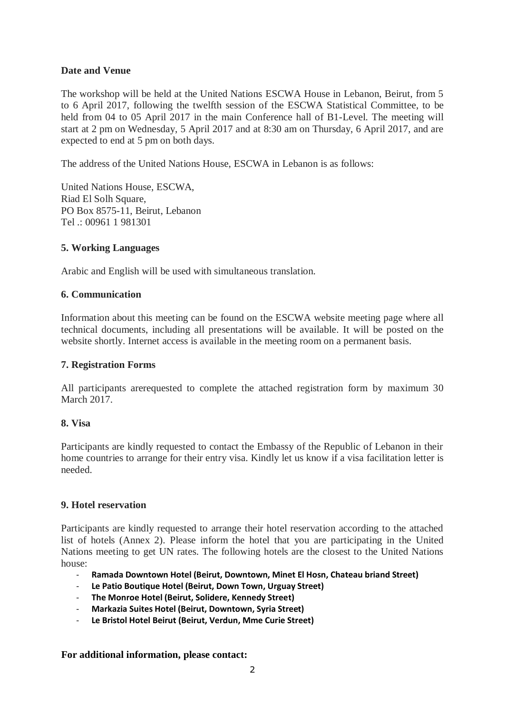#### **Date and Venue**

The workshop will be held at the United Nations ESCWA House in Lebanon, Beirut, from 5 to 6 April 2017, following the twelfth session of the ESCWA Statistical Committee, to be held from 04 to 05 April 2017 in the main Conference hall of B1-Level. The meeting will start at 2 pm on Wednesday, 5 April 2017 and at 8:30 am on Thursday, 6 April 2017, and are expected to end at 5 pm on both days.

The address of the United Nations House, ESCWA in Lebanon is as follows:

United Nations House, ESCWA, Riad El Solh Square, PO Box 8575-11, Beirut, Lebanon Tel .: 00961 1 981301

#### **5. Working Languages**

Arabic and English will be used with simultaneous translation.

#### **6. Communication**

Information about this meeting can be found on the ESCWA website meeting page where all technical documents, including all presentations will be available. It will be posted on the website shortly. Internet access is available in the meeting room on a permanent basis.

#### **7. Registration Forms**

All participants arerequested to complete the attached registration form by maximum 30 March 2017.

#### **8. Visa**

Participants are kindly requested to contact the Embassy of the Republic of Lebanon in their home countries to arrange for their entry visa. Kindly let us know if a visa facilitation letter is needed.

#### **9. Hotel reservation**

Participants are kindly requested to arrange their hotel reservation according to the attached list of hotels (Annex 2). Please inform the hotel that you are participating in the United Nations meeting to get UN rates. The following hotels are the closest to the United Nations house:

- **Ramada Downtown Hotel (Beirut, Downtown, Minet El Hosn, Chateau briand Street)**
- **Le Patio Boutique Hotel (Beirut, Down Town, Urguay Street)**
- **The Monroe Hotel (Beirut, Solidere, Kennedy Street)**
- **Markazia Suites Hotel (Beirut, Downtown, Syria Street)**
- Le Bristol Hotel Beirut (Beirut, Verdun, Mme Curie Street)

#### **For additional information, please contact:**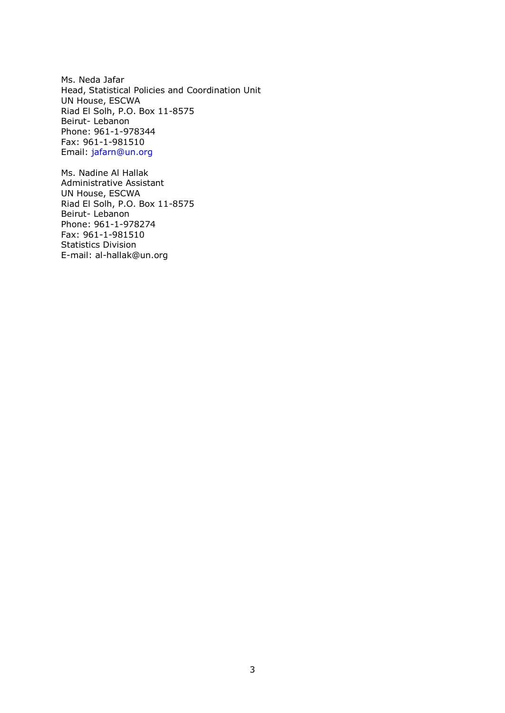Ms. Neda Jafar Head, Statistical Policies and Coordination Unit UN House, ESCWA Riad El Solh, P.O. Box 11-8575 Beirut- Lebanon Phone: 961-1-978344 Fax: 961-1-981510 Email: [jafarn@un.org](mailto:jafarn@un.org)

Ms. Nadine Al Hallak Administrative Assistant UN House, ESCWA Riad El Solh, P.O. Box 11-8575 Beirut- Lebanon Phone: 961-1-978274 Fax: 961-1-981510 Statistics Division E-mail: [al-hallak@un.org](mailto:al-hallak@un.org)